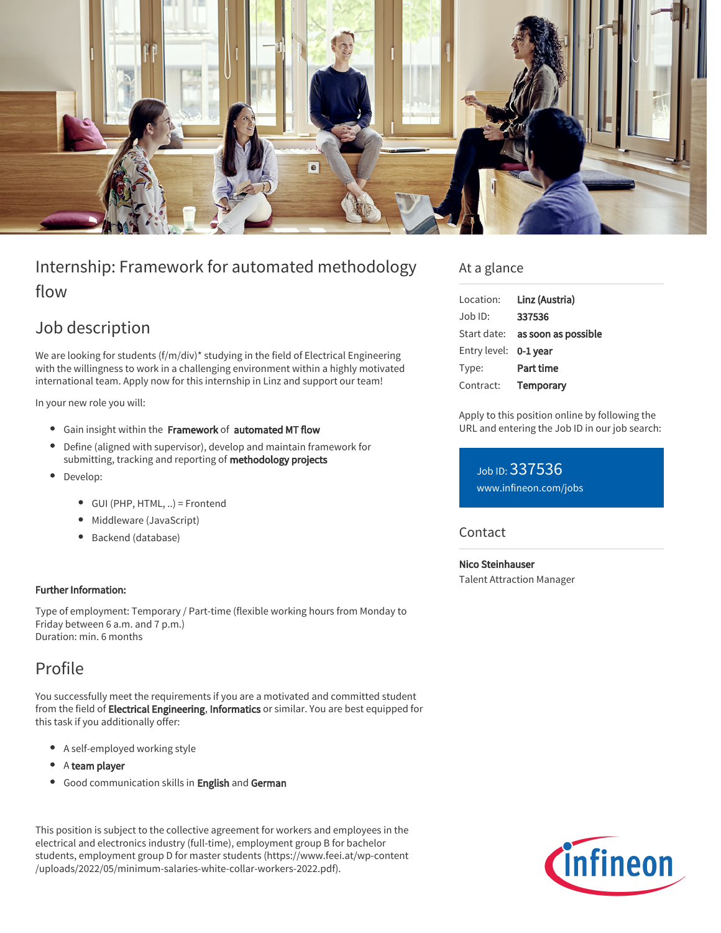

# Internship: Framework for automated methodology flow

# Job description

We are looking for students (f/m/div)\* studying in the field of Electrical Engineering with the willingness to work in a challenging environment within a highly motivated international team. Apply now for this internship in Linz and support our team!

In your new role you will:

- Gain insight within the Framework of automated MT flow
- Define (aligned with supervisor), develop and maintain framework for submitting, tracking and reporting of methodology projects
- Develop:
	- GUI (PHP, HTML, ..) = Frontend
	- Middleware (JavaScript)
	- Backend (database)

### Further Information:

Type of employment: Temporary / Part-time (flexible working hours from Monday to Friday between 6 a.m. and 7 p.m.) Duration: min. 6 months

# Profile

You successfully meet the requirements if you are a motivated and committed student from the field of **Electrical Engineering, Informatics** or similar. You are best equipped for this task if you additionally offer:

- A self-employed working style
- A team player
- **•** Good communication skills in English and German

This position is subject to the collective agreement for workers and employees in the electrical and electronics industry (full-time), employment group B for bachelor students, employment group D for master students (https://www.feei.at/wp-content /uploads/2022/05/minimum-salaries-white-collar-workers-2022.pdf).

## At a glance

| Location:             | Linz (Austria)      |
|-----------------------|---------------------|
| $Job$ ID:             | 337536              |
| Start date:           | as soon as possible |
| Entry level: 0-1 year |                     |
| Type:                 | Part time           |
| Contract:             | Temporary           |
|                       |                     |

Apply to this position online by following the URL and entering the Job ID in our job search:

Job ID: 337536 [www.infineon.com/jobs](https://www.infineon.com/jobs)

## **Contact**

Nico Steinhauser Talent Attraction Manager